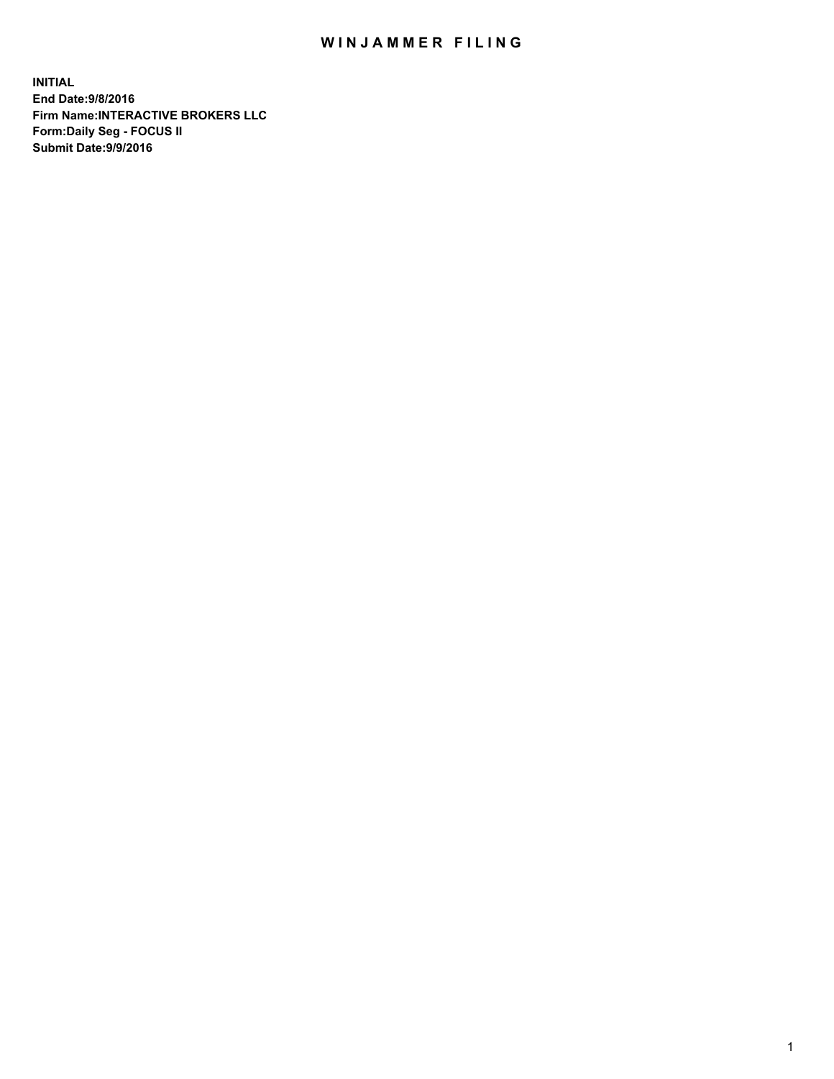## WIN JAMMER FILING

**INITIAL End Date:9/8/2016 Firm Name:INTERACTIVE BROKERS LLC Form:Daily Seg - FOCUS II Submit Date:9/9/2016**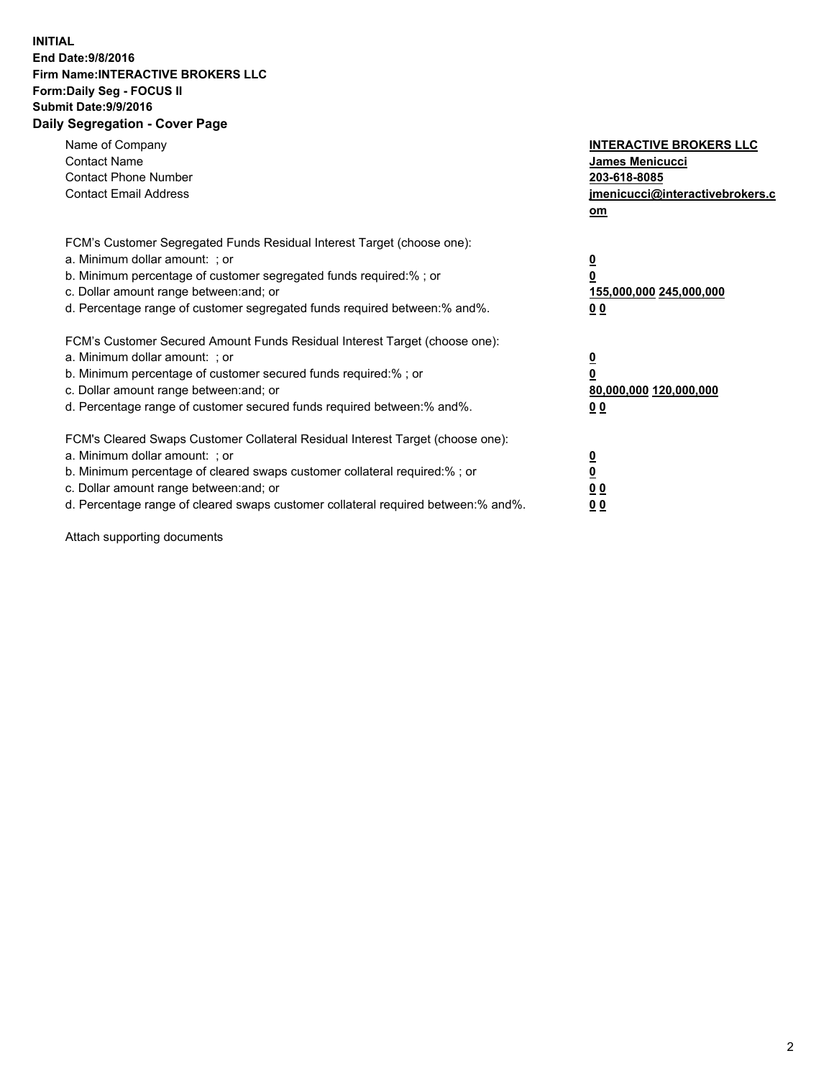## **INITIAL End Date:9/8/2016 Firm Name:INTERACTIVE BROKERS LLC Form:Daily Seg - FOCUS II Submit Date:9/9/2016 Daily Segregation - Cover Page**

| Name of Company<br><b>Contact Name</b><br><b>Contact Phone Number</b><br><b>Contact Email Address</b>                                                                                                                                                                                                                          | <b>INTERACTIVE BROKERS LLC</b><br>James Menicucci<br>203-618-8085<br>jmenicucci@interactivebrokers.c<br>om |
|--------------------------------------------------------------------------------------------------------------------------------------------------------------------------------------------------------------------------------------------------------------------------------------------------------------------------------|------------------------------------------------------------------------------------------------------------|
| FCM's Customer Segregated Funds Residual Interest Target (choose one):<br>a. Minimum dollar amount: ; or<br>b. Minimum percentage of customer segregated funds required:%; or<br>c. Dollar amount range between: and; or<br>d. Percentage range of customer segregated funds required between:% and%.                          | $\overline{\mathbf{0}}$<br>$\overline{\mathbf{0}}$<br>155,000,000 245,000,000<br>00                        |
| FCM's Customer Secured Amount Funds Residual Interest Target (choose one):<br>a. Minimum dollar amount: ; or<br>b. Minimum percentage of customer secured funds required:%; or<br>c. Dollar amount range between: and; or<br>d. Percentage range of customer secured funds required between: % and %.                          | $\overline{\mathbf{0}}$<br>0<br>80,000,000 120,000,000<br>00                                               |
| FCM's Cleared Swaps Customer Collateral Residual Interest Target (choose one):<br>a. Minimum dollar amount: ; or<br>b. Minimum percentage of cleared swaps customer collateral required:% ; or<br>c. Dollar amount range between: and; or<br>d. Percentage range of cleared swaps customer collateral required between:% and%. | $\overline{\mathbf{0}}$<br>$\underline{\mathbf{0}}$<br>0 <sub>0</sub><br>0 <sub>0</sub>                    |

Attach supporting documents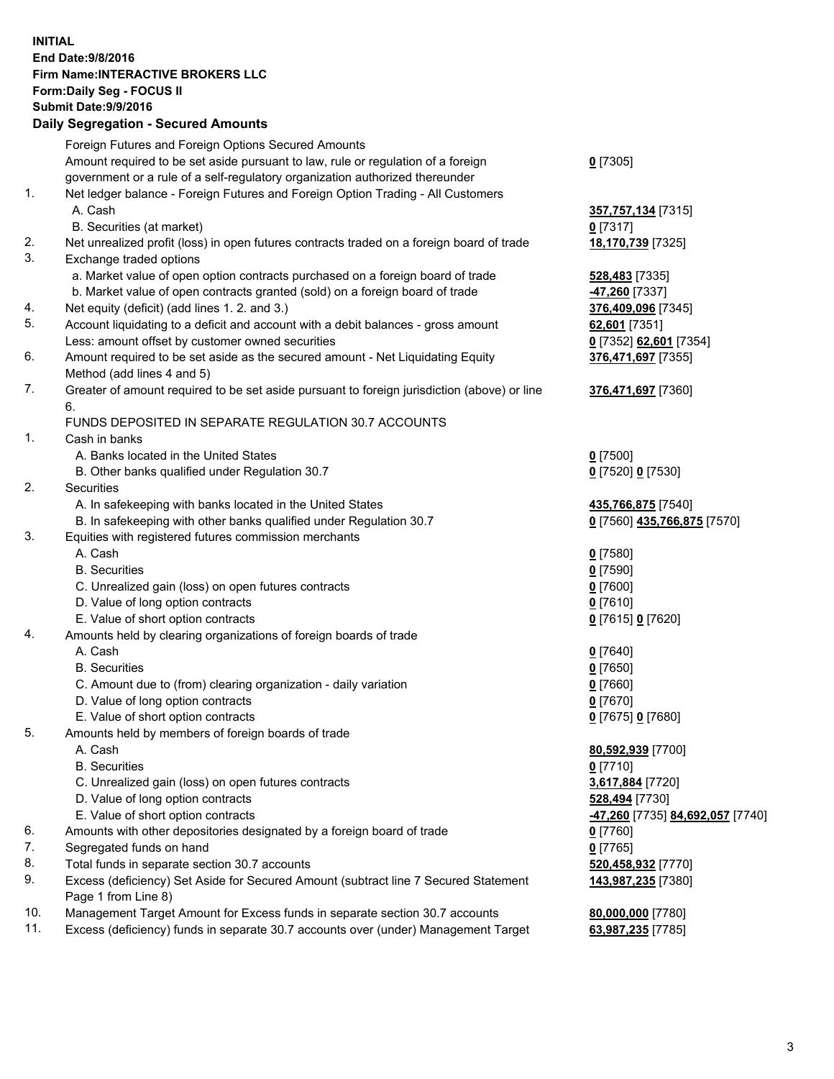## **INITIAL End Date:9/8/2016 Firm Name:INTERACTIVE BROKERS LLC Form:Daily Seg - FOCUS II Submit Date:9/9/2016 Daily Segregation - Secured Amounts**

|     | Foreign Futures and Foreign Options Secured Amounts                                         |                                  |
|-----|---------------------------------------------------------------------------------------------|----------------------------------|
|     | Amount required to be set aside pursuant to law, rule or regulation of a foreign            | $0$ [7305]                       |
|     | government or a rule of a self-regulatory organization authorized thereunder                |                                  |
| 1.  | Net ledger balance - Foreign Futures and Foreign Option Trading - All Customers             |                                  |
|     | A. Cash                                                                                     | 357,757,134 [7315]               |
|     | B. Securities (at market)                                                                   | $0$ [7317]                       |
| 2.  |                                                                                             |                                  |
| 3.  | Net unrealized profit (loss) in open futures contracts traded on a foreign board of trade   | 18,170,739 [7325]                |
|     | Exchange traded options                                                                     |                                  |
|     | a. Market value of open option contracts purchased on a foreign board of trade              | 528,483 [7335]                   |
|     | b. Market value of open contracts granted (sold) on a foreign board of trade                | -47,260 [7337]                   |
| 4.  | Net equity (deficit) (add lines 1.2. and 3.)                                                | 376,409,096 [7345]               |
| 5.  | Account liquidating to a deficit and account with a debit balances - gross amount           | 62,601 [7351]                    |
|     | Less: amount offset by customer owned securities                                            | 0 [7352] 62,601 [7354]           |
| 6.  | Amount required to be set aside as the secured amount - Net Liquidating Equity              | 376,471,697 [7355]               |
|     | Method (add lines 4 and 5)                                                                  |                                  |
| 7.  | Greater of amount required to be set aside pursuant to foreign jurisdiction (above) or line | 376,471,697 [7360]               |
|     | 6.                                                                                          |                                  |
|     | FUNDS DEPOSITED IN SEPARATE REGULATION 30.7 ACCOUNTS                                        |                                  |
| 1.  | Cash in banks                                                                               |                                  |
|     | A. Banks located in the United States                                                       | $0$ [7500]                       |
|     | B. Other banks qualified under Regulation 30.7                                              | 0 [7520] 0 [7530]                |
| 2.  | Securities                                                                                  |                                  |
|     | A. In safekeeping with banks located in the United States                                   | 435,766,875 [7540]               |
|     | B. In safekeeping with other banks qualified under Regulation 30.7                          | 0 [7560] 435,766,875 [7570]      |
| 3.  |                                                                                             |                                  |
|     | Equities with registered futures commission merchants                                       |                                  |
|     | A. Cash                                                                                     | $0$ [7580]                       |
|     | <b>B.</b> Securities                                                                        | $0$ [7590]                       |
|     | C. Unrealized gain (loss) on open futures contracts                                         | $0$ [7600]                       |
|     | D. Value of long option contracts                                                           | $0$ [7610]                       |
|     | E. Value of short option contracts                                                          | 0 [7615] 0 [7620]                |
| 4.  | Amounts held by clearing organizations of foreign boards of trade                           |                                  |
|     | A. Cash                                                                                     | $0$ [7640]                       |
|     | <b>B.</b> Securities                                                                        | $0$ [7650]                       |
|     | C. Amount due to (from) clearing organization - daily variation                             | $0$ [7660]                       |
|     | D. Value of long option contracts                                                           | $0$ [7670]                       |
|     | E. Value of short option contracts                                                          | 0 [7675] 0 [7680]                |
| 5.  | Amounts held by members of foreign boards of trade                                          |                                  |
|     | A. Cash                                                                                     | 80,592,939 [7700]                |
|     | <b>B.</b> Securities                                                                        | $0$ [7710]                       |
|     | C. Unrealized gain (loss) on open futures contracts                                         | 3,617,884 [7720]                 |
|     | D. Value of long option contracts                                                           | 528,494 [7730]                   |
|     | E. Value of short option contracts                                                          | -47,260 [7735] 84,692,057 [7740] |
| 6.  | Amounts with other depositories designated by a foreign board of trade                      | $0$ [7760]                       |
| 7.  | Segregated funds on hand                                                                    | $0$ [7765]                       |
| 8.  | Total funds in separate section 30.7 accounts                                               | 520,458,932 [7770]               |
| 9.  | Excess (deficiency) Set Aside for Secured Amount (subtract line 7 Secured Statement         | 143,987,235 [7380]               |
|     | Page 1 from Line 8)                                                                         |                                  |
| 10. |                                                                                             |                                  |
| 11. | Management Target Amount for Excess funds in separate section 30.7 accounts                 | 80,000,000 [7780]                |
|     | Excess (deficiency) funds in separate 30.7 accounts over (under) Management Target          | 63,987,235 [7785]                |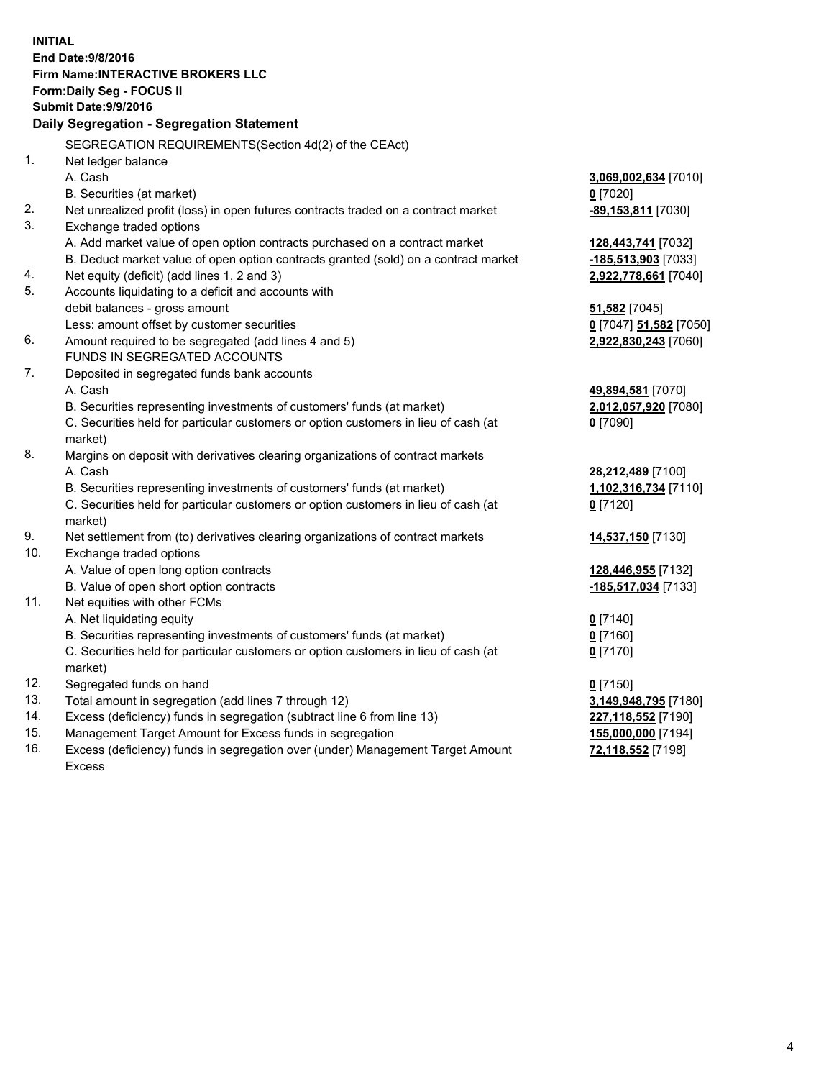**INITIAL End Date:9/8/2016 Firm Name:INTERACTIVE BROKERS LLC Form:Daily Seg - FOCUS II Submit Date:9/9/2016 Daily Segregation - Segregation Statement** SEGREGATION REQUIREMENTS(Section 4d(2) of the CEAct) 1. Net ledger balance A. Cash **3,069,002,634** [7010] B. Securities (at market) **0** [7020] 2. Net unrealized profit (loss) in open futures contracts traded on a contract market **-89,153,811** [7030] 3. Exchange traded options A. Add market value of open option contracts purchased on a contract market **128,443,741** [7032] B. Deduct market value of open option contracts granted (sold) on a contract market **-185,513,903** [7033] 4. Net equity (deficit) (add lines 1, 2 and 3) **2,922,778,661** [7040] 5. Accounts liquidating to a deficit and accounts with debit balances - gross amount **51,582** [7045] Less: amount offset by customer securities **0** [7047] **51,582** [7050] 6. Amount required to be segregated (add lines 4 and 5) **2,922,830,243** [7060] FUNDS IN SEGREGATED ACCOUNTS 7. Deposited in segregated funds bank accounts A. Cash **49,894,581** [7070] B. Securities representing investments of customers' funds (at market) **2,012,057,920** [7080] C. Securities held for particular customers or option customers in lieu of cash (at market) **0** [7090] 8. Margins on deposit with derivatives clearing organizations of contract markets A. Cash **28,212,489** [7100] B. Securities representing investments of customers' funds (at market) **1,102,316,734** [7110] C. Securities held for particular customers or option customers in lieu of cash (at market) **0** [7120] 9. Net settlement from (to) derivatives clearing organizations of contract markets **14,537,150** [7130] 10. Exchange traded options A. Value of open long option contracts **128,446,955** [7132] B. Value of open short option contracts **-185,517,034** [7133] 11. Net equities with other FCMs A. Net liquidating equity **0** [7140] B. Securities representing investments of customers' funds (at market) **0** [7160] C. Securities held for particular customers or option customers in lieu of cash (at market) **0** [7170] 12. Segregated funds on hand **0** [7150] 13. Total amount in segregation (add lines 7 through 12) **3,149,948,795** [7180] 14. Excess (deficiency) funds in segregation (subtract line 6 from line 13) **227,118,552** [7190] 15. Management Target Amount for Excess funds in segregation **155,000,000** [7194] 16. Excess (deficiency) funds in segregation over (under) Management Target Amount **72,118,552** [7198]

Excess